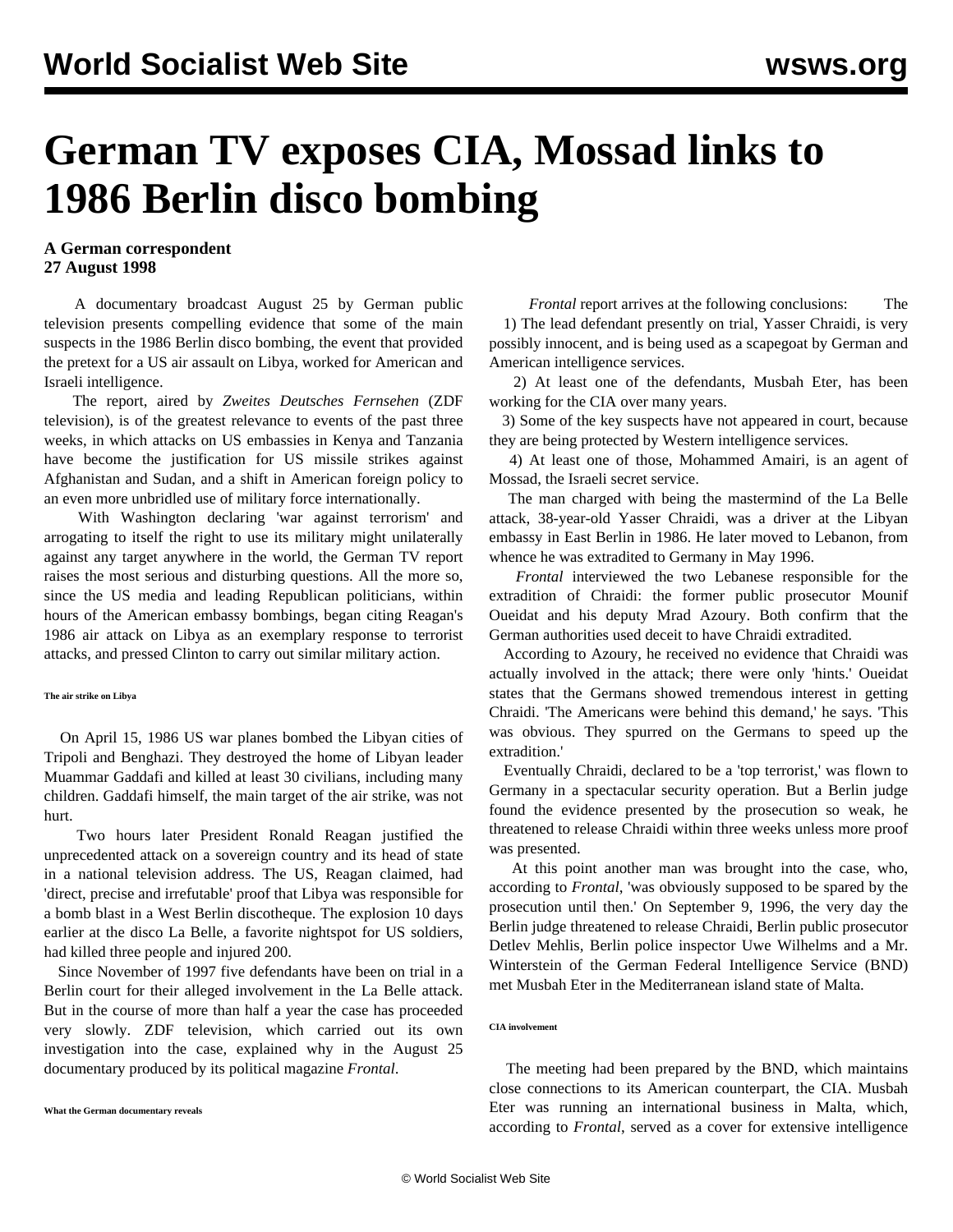# **German TV exposes CIA, Mossad links to 1986 Berlin disco bombing**

## **A German correspondent 27 August 1998**

 A documentary broadcast August 25 by German public television presents compelling evidence that some of the main suspects in the 1986 Berlin disco bombing, the event that provided the pretext for a US air assault on Libya, worked for American and Israeli intelligence.

 The report, aired by *Zweites Deutsches Fernsehen* (ZDF television), is of the greatest relevance to events of the past three weeks, in which attacks on US embassies in Kenya and Tanzania have become the justification for US missile strikes against Afghanistan and Sudan, and a shift in American foreign policy to an even more unbridled use of military force internationally.

 With Washington declaring 'war against terrorism' and arrogating to itself the right to use its military might unilaterally against any target anywhere in the world, the German TV report raises the most serious and disturbing questions. All the more so, since the US media and leading Republican politicians, within hours of the American embassy bombings, began citing Reagan's 1986 air attack on Libya as an exemplary response to terrorist attacks, and pressed Clinton to carry out similar military action.

#### **The air strike on Libya**

 On April 15, 1986 US war planes bombed the Libyan cities of Tripoli and Benghazi. They destroyed the home of Libyan leader Muammar Gaddafi and killed at least 30 civilians, including many children. Gaddafi himself, the main target of the air strike, was not hurt.

 Two hours later President Ronald Reagan justified the unprecedented attack on a sovereign country and its head of state in a national television address. The US, Reagan claimed, had 'direct, precise and irrefutable' proof that Libya was responsible for a bomb blast in a West Berlin discotheque. The explosion 10 days earlier at the disco La Belle, a favorite nightspot for US soldiers, had killed three people and injured 200.

 Since November of 1997 five defendants have been on trial in a Berlin court for their alleged involvement in the La Belle attack. But in the course of more than half a year the case has proceeded very slowly. ZDF television, which carried out its own investigation into the case, explained why in the August 25 documentary produced by its political magazine *Frontal*.

*Frontal* report arrives at the following conclusions: The 1) The lead defendant presently on trial, Yasser Chraidi, is very possibly innocent, and is being used as a scapegoat by German and American intelligence services.

 2) At least one of the defendants, Musbah Eter, has been working for the CIA over many years.

 3) Some of the key suspects have not appeared in court, because they are being protected by Western intelligence services.

 4) At least one of those, Mohammed Amairi, is an agent of Mossad, the Israeli secret service.

 The man charged with being the mastermind of the La Belle attack, 38-year-old Yasser Chraidi, was a driver at the Libyan embassy in East Berlin in 1986. He later moved to Lebanon, from whence he was extradited to Germany in May 1996.

 *Frontal* interviewed the two Lebanese responsible for the extradition of Chraidi: the former public prosecutor Mounif Oueidat and his deputy Mrad Azoury. Both confirm that the German authorities used deceit to have Chraidi extradited.

 According to Azoury, he received no evidence that Chraidi was actually involved in the attack; there were only 'hints.' Oueidat states that the Germans showed tremendous interest in getting Chraidi. 'The Americans were behind this demand,' he says. 'This was obvious. They spurred on the Germans to speed up the extradition.'

 Eventually Chraidi, declared to be a 'top terrorist,' was flown to Germany in a spectacular security operation. But a Berlin judge found the evidence presented by the prosecution so weak, he threatened to release Chraidi within three weeks unless more proof was presented.

 At this point another man was brought into the case, who, according to *Frontal*, 'was obviously supposed to be spared by the prosecution until then.' On September 9, 1996, the very day the Berlin judge threatened to release Chraidi, Berlin public prosecutor Detlev Mehlis, Berlin police inspector Uwe Wilhelms and a Mr. Winterstein of the German Federal Intelligence Service (BND) met Musbah Eter in the Mediterranean island state of Malta.

### **CIA involvement**

 The meeting had been prepared by the BND, which maintains close connections to its American counterpart, the CIA. Musbah Eter was running an international business in Malta, which, according to *Frontal*, served as a cover for extensive intelligence